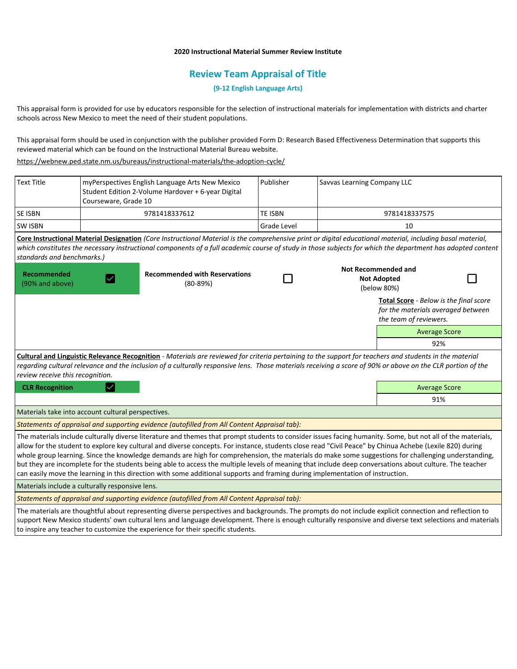### **2020 Instructional Material Summer Review Institute**

# **Review Team Appraisal of Title**

## **(9-12 English Language Arts)**

This appraisal form is provided for use by educators responsible for the selection of instructional materials for implementation with districts and charter schools across New Mexico to meet the need of their student populations.

This appraisal form should be used in conjunction with the publisher provided Form D: Research Based Effectiveness Determination that supports this reviewed material which can be found on the Instructional Material Bureau website.

<https://webnew.ped.state.nm.us/bureaus/instructional-materials/the-adoption-cycle/>

| <b>Text Title</b>                                  | myPerspectives English Language Arts New Mexico<br>Student Edition 2-Volume Hardover + 6-year Digital<br>Courseware, Grade 10 |                                                                                                                                                                                                                                                                                                                                                                                                                                                                                                                                                                                                                                                                                                                                                                             | Publisher      | Savvas Learning Company LLC                                     |                                                                                                               |  |  |
|----------------------------------------------------|-------------------------------------------------------------------------------------------------------------------------------|-----------------------------------------------------------------------------------------------------------------------------------------------------------------------------------------------------------------------------------------------------------------------------------------------------------------------------------------------------------------------------------------------------------------------------------------------------------------------------------------------------------------------------------------------------------------------------------------------------------------------------------------------------------------------------------------------------------------------------------------------------------------------------|----------------|-----------------------------------------------------------------|---------------------------------------------------------------------------------------------------------------|--|--|
| SE ISBN                                            |                                                                                                                               | 9781418337612                                                                                                                                                                                                                                                                                                                                                                                                                                                                                                                                                                                                                                                                                                                                                               | <b>TE ISBN</b> |                                                                 | 9781418337575                                                                                                 |  |  |
| SW ISBN                                            |                                                                                                                               |                                                                                                                                                                                                                                                                                                                                                                                                                                                                                                                                                                                                                                                                                                                                                                             | Grade Level    |                                                                 | 10                                                                                                            |  |  |
| standards and benchmarks.)                         |                                                                                                                               | Core Instructional Material Designation (Core Instructional Material is the comprehensive print or digital educational material, including basal material,<br>which constitutes the necessary instructional components of a full academic course of study in those subjects for which the department has adopted content                                                                                                                                                                                                                                                                                                                                                                                                                                                    |                |                                                                 |                                                                                                               |  |  |
| <b>Recommended</b><br>(90% and above)              |                                                                                                                               | <b>Recommended with Reservations</b><br>$(80-89%)$                                                                                                                                                                                                                                                                                                                                                                                                                                                                                                                                                                                                                                                                                                                          |                | <b>Not Recommended and</b><br><b>Not Adopted</b><br>(below 80%) |                                                                                                               |  |  |
|                                                    |                                                                                                                               |                                                                                                                                                                                                                                                                                                                                                                                                                                                                                                                                                                                                                                                                                                                                                                             |                |                                                                 | <b>Total Score</b> - Below is the final score<br>for the materials averaged between<br>the team of reviewers. |  |  |
|                                                    |                                                                                                                               |                                                                                                                                                                                                                                                                                                                                                                                                                                                                                                                                                                                                                                                                                                                                                                             |                |                                                                 | <b>Average Score</b>                                                                                          |  |  |
|                                                    |                                                                                                                               |                                                                                                                                                                                                                                                                                                                                                                                                                                                                                                                                                                                                                                                                                                                                                                             |                |                                                                 | 92%                                                                                                           |  |  |
| review receive this recognition.                   |                                                                                                                               | Cultural and Linguistic Relevance Recognition - Materials are reviewed for criteria pertaining to the support for teachers and students in the material<br>regarding cultural relevance and the inclusion of a culturally responsive lens. Those materials receiving a score of 90% or above on the CLR portion of the                                                                                                                                                                                                                                                                                                                                                                                                                                                      |                |                                                                 |                                                                                                               |  |  |
| <b>CLR Recognition</b>                             |                                                                                                                               |                                                                                                                                                                                                                                                                                                                                                                                                                                                                                                                                                                                                                                                                                                                                                                             |                |                                                                 | <b>Average Score</b>                                                                                          |  |  |
|                                                    |                                                                                                                               |                                                                                                                                                                                                                                                                                                                                                                                                                                                                                                                                                                                                                                                                                                                                                                             |                |                                                                 | 91%                                                                                                           |  |  |
| Materials take into account cultural perspectives. |                                                                                                                               |                                                                                                                                                                                                                                                                                                                                                                                                                                                                                                                                                                                                                                                                                                                                                                             |                |                                                                 |                                                                                                               |  |  |
|                                                    |                                                                                                                               | Statements of appraisal and supporting evidence (autofilled from All Content Appraisal tab):                                                                                                                                                                                                                                                                                                                                                                                                                                                                                                                                                                                                                                                                                |                |                                                                 |                                                                                                               |  |  |
|                                                    |                                                                                                                               | The materials include culturally diverse literature and themes that prompt students to consider issues facing humanity. Some, but not all of the materials,<br>allow for the student to explore key cultural and diverse concepts. For instance, students close read "Civil Peace" by Chinua Achebe (Lexile 820) during<br>whole group learning. Since the knowledge demands are high for comprehension, the materials do make some suggestions for challenging understanding,<br>but they are incomplete for the students being able to access the multiple levels of meaning that include deep conversations about culture. The teacher<br>can easily move the learning in this direction with some additional supports and framing during implementation of instruction. |                |                                                                 |                                                                                                               |  |  |
| Materials include a culturally responsive lens.    |                                                                                                                               |                                                                                                                                                                                                                                                                                                                                                                                                                                                                                                                                                                                                                                                                                                                                                                             |                |                                                                 |                                                                                                               |  |  |
|                                                    |                                                                                                                               | Statements of appraisal and supporting evidence (autofilled from All Content Appraisal tab):                                                                                                                                                                                                                                                                                                                                                                                                                                                                                                                                                                                                                                                                                |                |                                                                 |                                                                                                               |  |  |
|                                                    |                                                                                                                               | The materials are thoughtful about representing diverse perspectives and backgrounds. The prompts do not include explicit connection and reflection to<br>support New Mexico students' own cultural lens and language development. There is enough culturally responsive and diverse text selections and materials<br>to inspire any teacher to customize the experience for their specific students.                                                                                                                                                                                                                                                                                                                                                                       |                |                                                                 |                                                                                                               |  |  |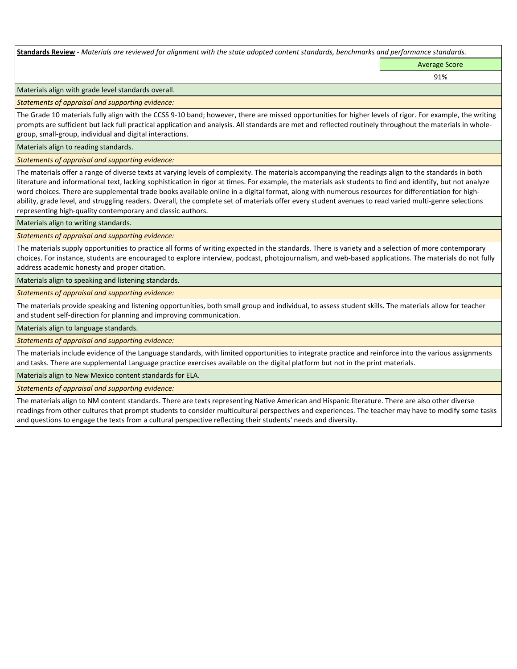**Standards Review** *- Materials are reviewed for alignment with the state adopted content standards, benchmarks and performance standards.*

Average Score 91%

Materials align with grade level standards overall.

*Statements of appraisal and supporting evidence:* 

The Grade 10 materials fully align with the CCSS 9-10 band; however, there are missed opportunities for higher levels of rigor. For example, the writing prompts are sufficient but lack full practical application and analysis. All standards are met and reflected routinely throughout the materials in wholegroup, small-group, individual and digital interactions.

Materials align to reading standards.

*Statements of appraisal and supporting evidence:* 

The materials offer a range of diverse texts at varying levels of complexity. The materials accompanying the readings align to the standards in both literature and informational text, lacking sophistication in rigor at times. For example, the materials ask students to find and identify, but not analyze word choices. There are supplemental trade books available online in a digital format, along with numerous resources for differentiation for highability, grade level, and struggling readers. Overall, the complete set of materials offer every student avenues to read varied multi-genre selections representing high-quality contemporary and classic authors.

Materials align to writing standards.

*Statements of appraisal and supporting evidence:* 

The materials supply opportunities to practice all forms of writing expected in the standards. There is variety and a selection of more contemporary choices. For instance, students are encouraged to explore interview, podcast, photojournalism, and web-based applications. The materials do not fully address academic honesty and proper citation.

Materials align to speaking and listening standards.

*Statements of appraisal and supporting evidence:* 

The materials provide speaking and listening opportunities, both small group and individual, to assess student skills. The materials allow for teacher and student self-direction for planning and improving communication.

Materials align to language standards.

*Statements of appraisal and supporting evidence:* 

The materials include evidence of the Language standards, with limited opportunities to integrate practice and reinforce into the various assignments and tasks. There are supplemental Language practice exercises available on the digital platform but not in the print materials.

Materials align to New Mexico content standards for ELA.

*Statements of appraisal and supporting evidence:* 

The materials align to NM content standards. There are texts representing Native American and Hispanic literature. There are also other diverse readings from other cultures that prompt students to consider multicultural perspectives and experiences. The teacher may have to modify some tasks and questions to engage the texts from a cultural perspective reflecting their students' needs and diversity.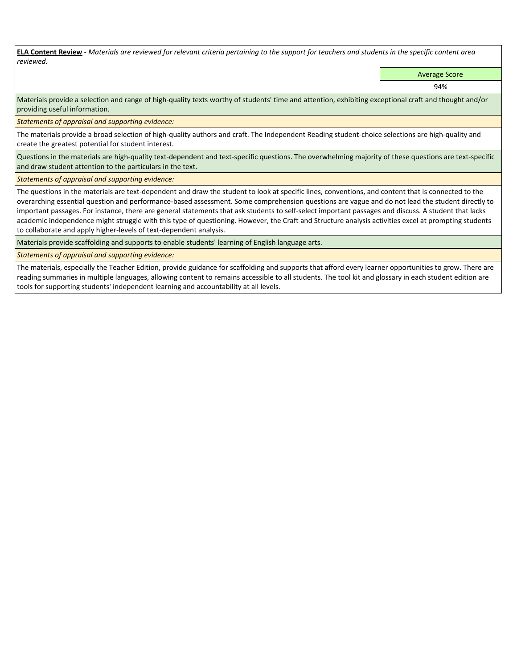**ELA Content Review** *- Materials are reviewed for relevant criteria pertaining to the support for teachers and students in the specific content area reviewed.*

Average Score

94%

Materials provide a selection and range of high-quality texts worthy of students' time and attention, exhibiting exceptional craft and thought and/or providing useful information.

*Statements of appraisal and supporting evidence:* 

The materials provide a broad selection of high-quality authors and craft. The Independent Reading student-choice selections are high-quality and create the greatest potential for student interest.

Questions in the materials are high-quality text-dependent and text-specific questions. The overwhelming majority of these questions are text-specific and draw student attention to the particulars in the text.

*Statements of appraisal and supporting evidence:* 

The questions in the materials are text-dependent and draw the student to look at specific lines, conventions, and content that is connected to the overarching essential question and performance-based assessment. Some comprehension questions are vague and do not lead the student directly to important passages. For instance, there are general statements that ask students to self-select important passages and discuss. A student that lacks academic independence might struggle with this type of questioning. However, the Craft and Structure analysis activities excel at prompting students to collaborate and apply higher-levels of text-dependent analysis.

Materials provide scaffolding and supports to enable students' learning of English language arts.

*Statements of appraisal and supporting evidence:* 

The materials, especially the Teacher Edition, provide guidance for scaffolding and supports that afford every learner opportunities to grow. There are reading summaries in multiple languages, allowing content to remains accessible to all students. The tool kit and glossary in each student edition are tools for supporting students' independent learning and accountability at all levels.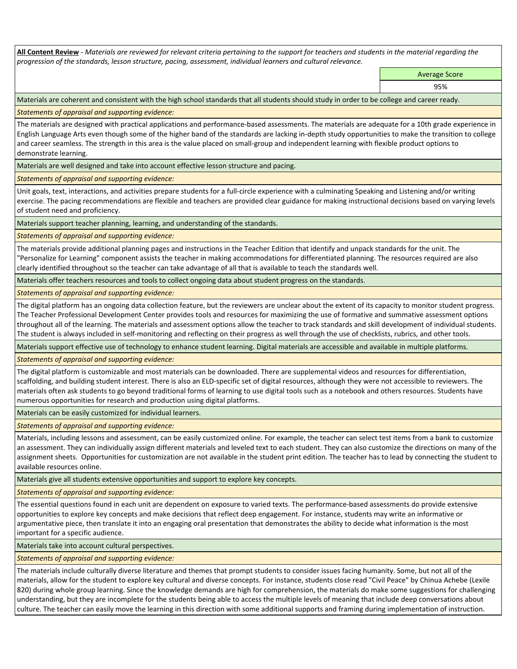**All Content Review** *- Materials are reviewed for relevant criteria pertaining to the support for teachers and students in the material regarding the progression of the standards, lesson structure, pacing, assessment, individual learners and cultural relevance.*

Average Score

95%

Materials are coherent and consistent with the high school standards that all students should study in order to be college and career ready.

*Statements of appraisal and supporting evidence:*

The materials are designed with practical applications and performance-based assessments. The materials are adequate for a 10th grade experience in English Language Arts even though some of the higher band of the standards are lacking in-depth study opportunities to make the transition to college and career seamless. The strength in this area is the value placed on small-group and independent learning with flexible product options to demonstrate learning.

Materials are well designed and take into account effective lesson structure and pacing.

*Statements of appraisal and supporting evidence:*

Unit goals, text, interactions, and activities prepare students for a full-circle experience with a culminating Speaking and Listening and/or writing exercise. The pacing recommendations are flexible and teachers are provided clear guidance for making instructional decisions based on varying levels of student need and proficiency.

Materials support teacher planning, learning, and understanding of the standards.

*Statements of appraisal and supporting evidence:*

The materials provide additional planning pages and instructions in the Teacher Edition that identify and unpack standards for the unit. The "Personalize for Learning" component assists the teacher in making accommodations for differentiated planning. The resources required are also clearly identified throughout so the teacher can take advantage of all that is available to teach the standards well.

Materials offer teachers resources and tools to collect ongoing data about student progress on the standards.

*Statements of appraisal and supporting evidence:*

The digital platform has an ongoing data collection feature, but the reviewers are unclear about the extent of its capacity to monitor student progress. The Teacher Professional Development Center provides tools and resources for maximizing the use of formative and summative assessment options throughout all of the learning. The materials and assessment options allow the teacher to track standards and skill development of individual students. The student is always included in self-monitoring and reflecting on their progress as well through the use of checklists, rubrics, and other tools.

Materials support effective use of technology to enhance student learning. Digital materials are accessible and available in multiple platforms.

*Statements of appraisal and supporting evidence:*

The digital platform is customizable and most materials can be downloaded. There are supplemental videos and resources for differentiation, scaffolding, and building student interest. There is also an ELD-specific set of digital resources, although they were not accessible to reviewers. The materials often ask students to go beyond traditional forms of learning to use digital tools such as a notebook and others resources. Students have numerous opportunities for research and production using digital platforms.

Materials can be easily customized for individual learners.

*Statements of appraisal and supporting evidence:* 

Materials, including lessons and assessment, can be easily customized online. For example, the teacher can select test items from a bank to customize an assessment. They can individually assign different materials and leveled text to each student. They can also customize the directions on many of the assignment sheets. Opportunities for customization are not available in the student print edition. The teacher has to lead by connecting the student to available resources online.

Materials give all students extensive opportunities and support to explore key concepts.

*Statements of appraisal and supporting evidence:*

The essential questions found in each unit are dependent on exposure to varied texts. The performance-based assessments do provide extensive opportunities to explore key concepts and make decisions that reflect deep engagement. For instance, students may write an informative or argumentative piece, then translate it into an engaging oral presentation that demonstrates the ability to decide what information is the most important for a specific audience.

Materials take into account cultural perspectives.

*Statements of appraisal and supporting evidence:*

The materials include culturally diverse literature and themes that prompt students to consider issues facing humanity. Some, but not all of the materials, allow for the student to explore key cultural and diverse concepts. For instance, students close read "Civil Peace" by Chinua Achebe (Lexile 820) during whole group learning. Since the knowledge demands are high for comprehension, the materials do make some suggestions for challenging understanding, but they are incomplete for the students being able to access the multiple levels of meaning that include deep conversations about culture. The teacher can easily move the learning in this direction with some additional supports and framing during implementation of instruction.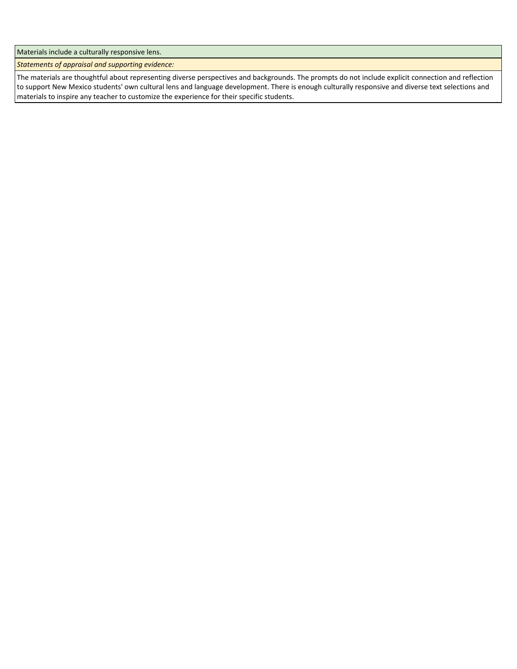Materials include a culturally responsive lens.

*Statements of appraisal and supporting evidence:*

The materials are thoughtful about representing diverse perspectives and backgrounds. The prompts do not include explicit connection and reflection to support New Mexico students' own cultural lens and language development. There is enough culturally responsive and diverse text selections and materials to inspire any teacher to customize the experience for their specific students.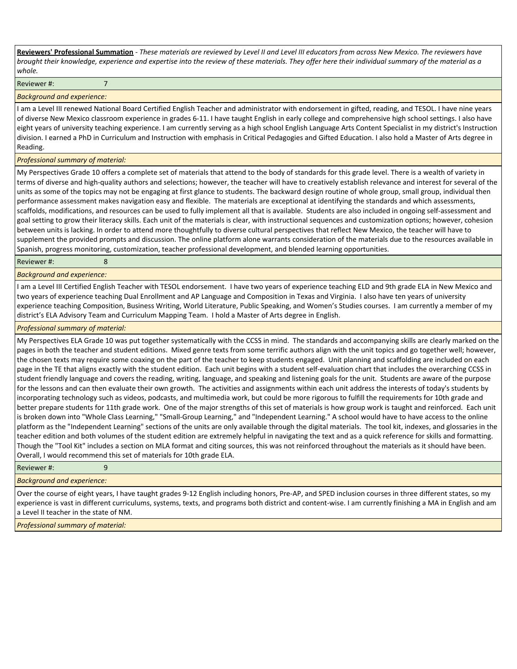**Reviewers' Professional Summation** *- These materials are reviewed by Level II and Level III educators from across New Mexico. The reviewers have brought their knowledge, experience and expertise into the review of these materials. They offer here their individual summary of the material as a whole.*

Reviewer #: 7

#### *Background and experience:*

I am a Level III renewed National Board Certified English Teacher and administrator with endorsement in gifted, reading, and TESOL. I have nine years of diverse New Mexico classroom experience in grades 6-11. I have taught English in early college and comprehensive high school settings. I also have eight years of university teaching experience. I am currently serving as a high school English Language Arts Content Specialist in my district's Instruction division. I earned a PhD in Curriculum and Instruction with emphasis in Critical Pedagogies and Gifted Education. I also hold a Master of Arts degree in Reading.

#### *Professional summary of material:*

My Perspectives Grade 10 offers a complete set of materials that attend to the body of standards for this grade level. There is a wealth of variety in terms of diverse and high-quality authors and selections; however, the teacher will have to creatively establish relevance and interest for several of the units as some of the topics may not be engaging at first glance to students. The backward design routine of whole group, small group, individual then performance assessment makes navigation easy and flexible. The materials are exceptional at identifying the standards and which assessments, scaffolds, modifications, and resources can be used to fully implement all that is available. Students are also included in ongoing self-assessment and goal setting to grow their literacy skills. Each unit of the materials is clear, with instructional sequences and customization options; however, cohesion between units is lacking. In order to attend more thoughtfully to diverse cultural perspectives that reflect New Mexico, the teacher will have to supplement the provided prompts and discussion. The online platform alone warrants consideration of the materials due to the resources available in Spanish, progress monitoring, customization, teacher professional development, and blended learning opportunities.

Reviewer #: 8

#### *Background and experience:*

I am a Level III Certified English Teacher with TESOL endorsement. I have two years of experience teaching ELD and 9th grade ELA in New Mexico and two years of experience teaching Dual Enrollment and AP Language and Composition in Texas and Virginia. I also have ten years of university experience teaching Composition, Business Writing, World Literature, Public Speaking, and Women's Studies courses. I am currently a member of my district's ELA Advisory Team and Curriculum Mapping Team. I hold a Master of Arts degree in English.

#### *Professional summary of material:*

My Perspectives ELA Grade 10 was put together systematically with the CCSS in mind. The standards and accompanying skills are clearly marked on the pages in both the teacher and student editions. Mixed genre texts from some terrific authors align with the unit topics and go together well; however, the chosen texts may require some coaxing on the part of the teacher to keep students engaged. Unit planning and scaffolding are included on each page in the TE that aligns exactly with the student edition. Each unit begins with a student self-evaluation chart that includes the overarching CCSS in student friendly language and covers the reading, writing, language, and speaking and listening goals for the unit. Students are aware of the purpose for the lessons and can then evaluate their own growth. The activities and assignments within each unit address the interests of today's students by incorporating technology such as videos, podcasts, and multimedia work, but could be more rigorous to fulfill the requirements for 10th grade and better prepare students for 11th grade work. One of the major strengths of this set of materials is how group work is taught and reinforced. Each unit is broken down into "Whole Class Learning," "Small-Group Learning," and "Independent Learning." A school would have to have access to the online platform as the "Independent Learning" sections of the units are only available through the digital materials. The tool kit, indexes, and glossaries in the teacher edition and both volumes of the student edition are extremely helpful in navigating the text and as a quick reference for skills and formatting. Though the "Tool Kit" includes a section on MLA format and citing sources, this was not reinforced throughout the materials as it should have been. Overall, I would recommend this set of materials for 10th grade ELA.

#### Reviewer #: 9

#### *Background and experience:*

Over the course of eight years, I have taught grades 9-12 English including honors, Pre-AP, and SPED inclusion courses in three different states, so my experience is vast in different curriculums, systems, texts, and programs both district and content-wise. I am currently finishing a MA in English and am a Level II teacher in the state of NM.

*Professional summary of material:*